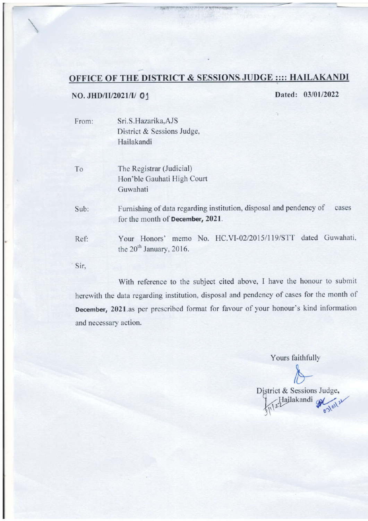## OFFICE OF THE DISTRICT & SESSIONS JUDGE :::: HAILAKANDI

## NO. JHD/II/2021/I/ 01

Dated: 03/01/2022

From: Sri.S.Hazarika,AJS District & Sessions Judge, Hailakandi

To The Registrar (Judicial) Hon'ble Gauhati High Court Guwahati

Sub: Furnishing of data regarding institution, disposal and pendency of cases for the month of December, 2021,

Your Honors' memo No. HC.VI-02/2015/l 19/STT dated Guwahati. the 20<sup>th</sup> January, 2016. Ref:

Sir.

With reference to the subject cited above, I have the honour to submit herewith the data regarding institution, disposal and pendency of cases for the month of December, 202l.as per prescribed format for favour of your honour's kind information and necessary action.

Yours faithfully

District & Sessions Judge, Hailakandi Sala